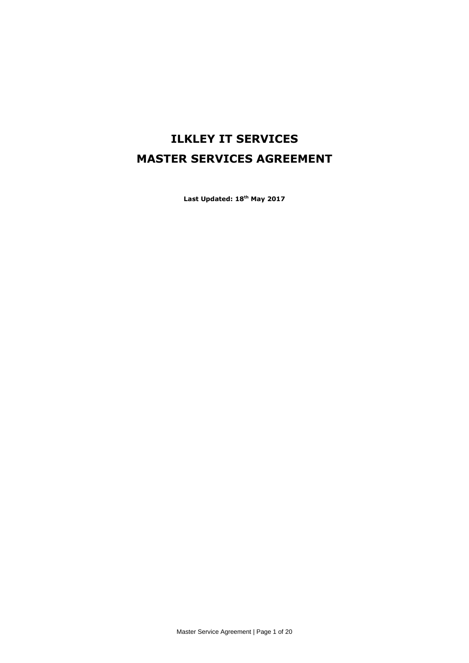# **ILKLEY IT SERVICES MASTER SERVICES AGREEMENT**

**Last Updated: 18th May 2017**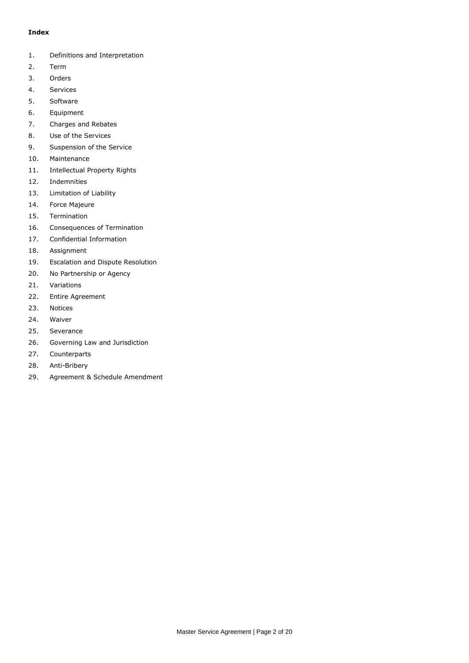## **Index**

- 1. Definitions and Interpretation
- 2. Term
- 3. Orders
- 4. Services
- 5. Software
- 6. Equipment
- 7. Charges and Rebates
- 8. Use of the Services
- 9. Suspension of the Service
- 10. Maintenance
- 11. Intellectual Property Rights
- 12. Indemnities
- 13. Limitation of Liability
- 14. Force Majeure
- 15. Termination
- 16. Consequences of Termination
- 17. Confidential Information
- 18. Assignment
- 19. Escalation and Dispute Resolution
- 20. No Partnership or Agency
- 21. Variations
- 22. Entire Agreement
- 23. Notices
- 24. Waiver
- 25. Severance
- 26. Governing Law and Jurisdiction
- 27. Counterparts
- 28. Anti-Bribery
- 29. Agreement & Schedule Amendment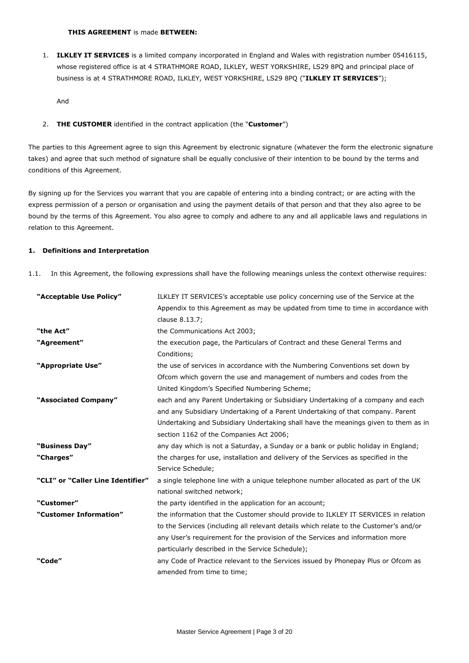1. **ILKLEY IT SERVICES** is a limited company incorporated in England and Wales with registration number 05416115, whose registered office is at 4 STRATHMORE ROAD, ILKLEY, WEST YORKSHIRE, LS29 8PQ and principal place of business is at 4 STRATHMORE ROAD, ILKLEY, WEST YORKSHIRE, LS29 8PQ ("**ILKLEY IT SERVICES**");

And

2. **THE CUSTOMER** identified in the contract application (the "**Customer**")

The parties to this Agreement agree to sign this Agreement by electronic signature (whatever the form the electronic signature takes) and agree that such method of signature shall be equally conclusive of their intention to be bound by the terms and conditions of this Agreement.

By signing up for the Services you warrant that you are capable of entering into a binding contract; or are acting with the express permission of a person or organisation and using the payment details of that person and that they also agree to be bound by the terms of this Agreement. You also agree to comply and adhere to any and all applicable laws and regulations in relation to this Agreement.

## **1. Definitions and Interpretation**

1.1. In this Agreement, the following expressions shall have the following meanings unless the context otherwise requires:

| "Acceptable Use Policy"           | ILKLEY IT SERVICES's acceptable use policy concerning use of the Service at the       |
|-----------------------------------|---------------------------------------------------------------------------------------|
|                                   | Appendix to this Agreement as may be updated from time to time in accordance with     |
|                                   | clause 8.13.7;                                                                        |
| "the Act"                         | the Communications Act 2003;                                                          |
| "Agreement"                       | the execution page, the Particulars of Contract and these General Terms and           |
|                                   | Conditions;                                                                           |
| "Appropriate Use"                 | the use of services in accordance with the Numbering Conventions set down by          |
|                                   | Ofcom which govern the use and management of numbers and codes from the               |
|                                   | United Kingdom's Specified Numbering Scheme;                                          |
| "Associated Company"              | each and any Parent Undertaking or Subsidiary Undertaking of a company and each       |
|                                   | and any Subsidiary Undertaking of a Parent Undertaking of that company. Parent        |
|                                   | Undertaking and Subsidiary Undertaking shall have the meanings given to them as in    |
|                                   | section 1162 of the Companies Act 2006;                                               |
| "Business Day"                    | any day which is not a Saturday, a Sunday or a bank or public holiday in England;     |
| "Charges"                         | the charges for use, installation and delivery of the Services as specified in the    |
|                                   | Service Schedule;                                                                     |
| "CLI" or "Caller Line Identifier" | a single telephone line with a unique telephone number allocated as part of the UK    |
|                                   | national switched network;                                                            |
| "Customer"                        | the party identified in the application for an account;                               |
| "Customer Information"            | the information that the Customer should provide to ILKLEY IT SERVICES in relation    |
|                                   | to the Services (including all relevant details which relate to the Customer's and/or |
|                                   | any User's requirement for the provision of the Services and information more         |
|                                   | particularly described in the Service Schedule);                                      |
| "Code"                            | any Code of Practice relevant to the Services issued by Phonepay Plus or Ofcom as     |
|                                   | amended from time to time;                                                            |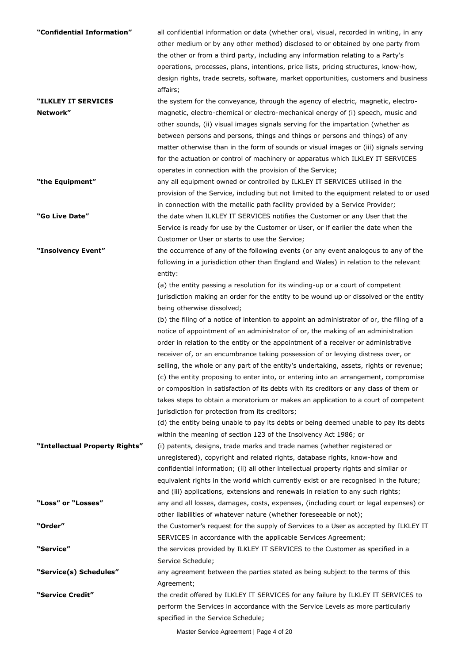| "Confidential Information"<br>"ILKLEY IT SERVICES | all confidential information or data (whether oral, visual, recorded in writing, in any<br>other medium or by any other method) disclosed to or obtained by one party from<br>the other or from a third party, including any information relating to a Party's<br>operations, processes, plans, intentions, price lists, pricing structures, know-how,<br>design rights, trade secrets, software, market opportunities, customers and business<br>affairs;<br>the system for the conveyance, through the agency of electric, magnetic, electro- |
|---------------------------------------------------|-------------------------------------------------------------------------------------------------------------------------------------------------------------------------------------------------------------------------------------------------------------------------------------------------------------------------------------------------------------------------------------------------------------------------------------------------------------------------------------------------------------------------------------------------|
| Network"                                          | magnetic, electro-chemical or electro-mechanical energy of (i) speech, music and                                                                                                                                                                                                                                                                                                                                                                                                                                                                |
|                                                   | other sounds, (ii) visual images signals serving for the impartation (whether as                                                                                                                                                                                                                                                                                                                                                                                                                                                                |
|                                                   | between persons and persons, things and things or persons and things) of any                                                                                                                                                                                                                                                                                                                                                                                                                                                                    |
|                                                   | matter otherwise than in the form of sounds or visual images or (iii) signals serving                                                                                                                                                                                                                                                                                                                                                                                                                                                           |
|                                                   | for the actuation or control of machinery or apparatus which ILKLEY IT SERVICES                                                                                                                                                                                                                                                                                                                                                                                                                                                                 |
|                                                   | operates in connection with the provision of the Service;                                                                                                                                                                                                                                                                                                                                                                                                                                                                                       |
| "the Equipment"                                   | any all equipment owned or controlled by ILKLEY IT SERVICES utilised in the                                                                                                                                                                                                                                                                                                                                                                                                                                                                     |
|                                                   | provision of the Service, including but not limited to the equipment related to or used                                                                                                                                                                                                                                                                                                                                                                                                                                                         |
|                                                   | in connection with the metallic path facility provided by a Service Provider;                                                                                                                                                                                                                                                                                                                                                                                                                                                                   |
| "Go Live Date"                                    | the date when ILKLEY IT SERVICES notifies the Customer or any User that the                                                                                                                                                                                                                                                                                                                                                                                                                                                                     |
|                                                   | Service is ready for use by the Customer or User, or if earlier the date when the                                                                                                                                                                                                                                                                                                                                                                                                                                                               |
|                                                   | Customer or User or starts to use the Service;                                                                                                                                                                                                                                                                                                                                                                                                                                                                                                  |
| "Insolvency Event"                                | the occurrence of any of the following events (or any event analogous to any of the                                                                                                                                                                                                                                                                                                                                                                                                                                                             |
|                                                   | following in a jurisdiction other than England and Wales) in relation to the relevant                                                                                                                                                                                                                                                                                                                                                                                                                                                           |
|                                                   | entity:                                                                                                                                                                                                                                                                                                                                                                                                                                                                                                                                         |
|                                                   | (a) the entity passing a resolution for its winding-up or a court of competent                                                                                                                                                                                                                                                                                                                                                                                                                                                                  |
|                                                   | jurisdiction making an order for the entity to be wound up or dissolved or the entity                                                                                                                                                                                                                                                                                                                                                                                                                                                           |
|                                                   | being otherwise dissolved;                                                                                                                                                                                                                                                                                                                                                                                                                                                                                                                      |
|                                                   | (b) the filing of a notice of intention to appoint an administrator of or, the filing of a                                                                                                                                                                                                                                                                                                                                                                                                                                                      |
|                                                   | notice of appointment of an administrator of or, the making of an administration                                                                                                                                                                                                                                                                                                                                                                                                                                                                |
|                                                   | order in relation to the entity or the appointment of a receiver or administrative                                                                                                                                                                                                                                                                                                                                                                                                                                                              |
|                                                   | receiver of, or an encumbrance taking possession of or levying distress over, or                                                                                                                                                                                                                                                                                                                                                                                                                                                                |
|                                                   | selling, the whole or any part of the entity's undertaking, assets, rights or revenue;                                                                                                                                                                                                                                                                                                                                                                                                                                                          |
|                                                   | (c) the entity proposing to enter into, or entering into an arrangement, compromise                                                                                                                                                                                                                                                                                                                                                                                                                                                             |
|                                                   | or composition in satisfaction of its debts with its creditors or any class of them or<br>takes steps to obtain a moratorium or makes an application to a court of competent                                                                                                                                                                                                                                                                                                                                                                    |
|                                                   | jurisdiction for protection from its creditors;                                                                                                                                                                                                                                                                                                                                                                                                                                                                                                 |
|                                                   | (d) the entity being unable to pay its debts or being deemed unable to pay its debts                                                                                                                                                                                                                                                                                                                                                                                                                                                            |
|                                                   | within the meaning of section 123 of the Insolvency Act 1986; or                                                                                                                                                                                                                                                                                                                                                                                                                                                                                |
| "Intellectual Property Rights"                    | (i) patents, designs, trade marks and trade names (whether registered or                                                                                                                                                                                                                                                                                                                                                                                                                                                                        |
|                                                   | unregistered), copyright and related rights, database rights, know-how and                                                                                                                                                                                                                                                                                                                                                                                                                                                                      |
|                                                   | confidential information; (ii) all other intellectual property rights and similar or                                                                                                                                                                                                                                                                                                                                                                                                                                                            |
|                                                   | equivalent rights in the world which currently exist or are recognised in the future;                                                                                                                                                                                                                                                                                                                                                                                                                                                           |
|                                                   | and (iii) applications, extensions and renewals in relation to any such rights;                                                                                                                                                                                                                                                                                                                                                                                                                                                                 |
| "Loss" or "Losses"                                | any and all losses, damages, costs, expenses, (including court or legal expenses) or                                                                                                                                                                                                                                                                                                                                                                                                                                                            |
|                                                   | other liabilities of whatever nature (whether foreseeable or not);                                                                                                                                                                                                                                                                                                                                                                                                                                                                              |
| "Order"                                           | the Customer's request for the supply of Services to a User as accepted by ILKLEY IT                                                                                                                                                                                                                                                                                                                                                                                                                                                            |
|                                                   | SERVICES in accordance with the applicable Services Agreement;                                                                                                                                                                                                                                                                                                                                                                                                                                                                                  |
| "Service"                                         | the services provided by ILKLEY IT SERVICES to the Customer as specified in a                                                                                                                                                                                                                                                                                                                                                                                                                                                                   |
|                                                   | Service Schedule;                                                                                                                                                                                                                                                                                                                                                                                                                                                                                                                               |
| "Service(s) Schedules"                            | any agreement between the parties stated as being subject to the terms of this                                                                                                                                                                                                                                                                                                                                                                                                                                                                  |
|                                                   | Agreement;                                                                                                                                                                                                                                                                                                                                                                                                                                                                                                                                      |
| "Service Credit"                                  | the credit offered by ILKLEY IT SERVICES for any failure by ILKLEY IT SERVICES to                                                                                                                                                                                                                                                                                                                                                                                                                                                               |
|                                                   | perform the Services in accordance with the Service Levels as more particularly                                                                                                                                                                                                                                                                                                                                                                                                                                                                 |
|                                                   | specified in the Service Schedule;                                                                                                                                                                                                                                                                                                                                                                                                                                                                                                              |

Master Service Agreement | Page 4 of 20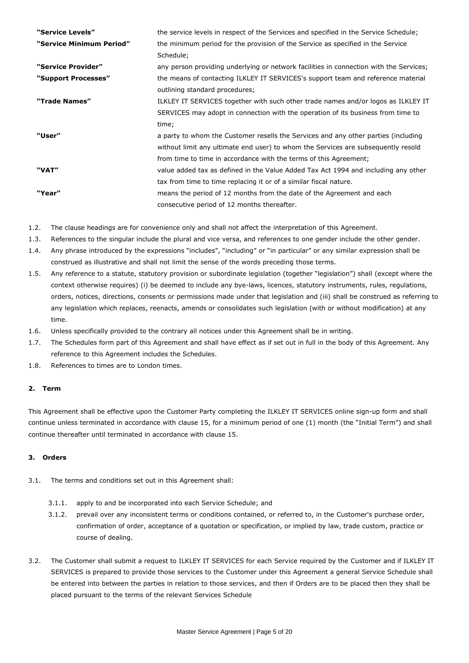| "Service Levels"         | the service levels in respect of the Services and specified in the Service Schedule;   |
|--------------------------|----------------------------------------------------------------------------------------|
| "Service Minimum Period" | the minimum period for the provision of the Service as specified in the Service        |
|                          | Schedule;                                                                              |
| "Service Provider"       | any person providing underlying or network facilities in connection with the Services; |
| "Support Processes"      | the means of contacting ILKLEY IT SERVICES's support team and reference material       |
|                          | outlining standard procedures;                                                         |
| "Trade Names"            | ILKLEY IT SERVICES together with such other trade names and/or logos as ILKLEY IT      |
|                          | SERVICES may adopt in connection with the operation of its business from time to       |
|                          | time;                                                                                  |
| "User"                   | a party to whom the Customer resells the Services and any other parties (including     |
|                          | without limit any ultimate end user) to whom the Services are subsequently resold      |
|                          | from time to time in accordance with the terms of this Agreement;                      |
| "VAT"                    | value added tax as defined in the Value Added Tax Act 1994 and including any other     |
|                          | tax from time to time replacing it or of a similar fiscal nature.                      |
| "Year"                   | means the period of 12 months from the date of the Agreement and each                  |
|                          | consecutive period of 12 months thereafter.                                            |

1.2. The clause headings are for convenience only and shall not affect the interpretation of this Agreement.

- 1.3. References to the singular include the plural and vice versa, and references to one gender include the other gender.
- 1.4. Any phrase introduced by the expressions "includes", "including" or "in particular" or any similar expression shall be construed as illustrative and shall not limit the sense of the words preceding those terms.
- 1.5. Any reference to a statute, statutory provision or subordinate legislation (together "legislation") shall (except where the context otherwise requires) (i) be deemed to include any bye-laws, licences, statutory instruments, rules, regulations, orders, notices, directions, consents or permissions made under that legislation and (iii) shall be construed as referring to any legislation which replaces, reenacts, amends or consolidates such legislation (with or without modification) at any time.
- 1.6. Unless specifically provided to the contrary all notices under this Agreement shall be in writing.
- 1.7. The Schedules form part of this Agreement and shall have effect as if set out in full in the body of this Agreement. Any reference to this Agreement includes the Schedules.
- 1.8. References to times are to London times.

## **2. Term**

This Agreement shall be effective upon the Customer Party completing the ILKLEY IT SERVICES online sign-up form and shall continue unless terminated in accordance with clause 15, for a minimum period of one (1) month (the "Initial Term") and shall continue thereafter until terminated in accordance with clause 15.

## **3. Orders**

- 3.1. The terms and conditions set out in this Agreement shall:
	- 3.1.1. apply to and be incorporated into each Service Schedule; and
	- 3.1.2. prevail over any inconsistent terms or conditions contained, or referred to, in the Customer's purchase order, confirmation of order, acceptance of a quotation or specification, or implied by law, trade custom, practice or course of dealing.
- 3.2. The Customer shall submit a request to ILKLEY IT SERVICES for each Service required by the Customer and if ILKLEY IT SERVICES is prepared to provide those services to the Customer under this Agreement a general Service Schedule shall be entered into between the parties in relation to those services, and then if Orders are to be placed then they shall be placed pursuant to the terms of the relevant Services Schedule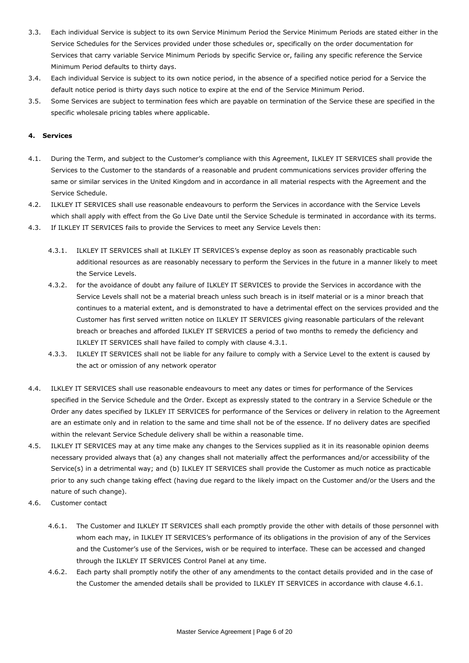- 3.3. Each individual Service is subject to its own Service Minimum Period the Service Minimum Periods are stated either in the Service Schedules for the Services provided under those schedules or, specifically on the order documentation for Services that carry variable Service Minimum Periods by specific Service or, failing any specific reference the Service Minimum Period defaults to thirty days.
- 3.4. Each individual Service is subject to its own notice period, in the absence of a specified notice period for a Service the default notice period is thirty days such notice to expire at the end of the Service Minimum Period.
- 3.5. Some Services are subject to termination fees which are payable on termination of the Service these are specified in the specific wholesale pricing tables where applicable.

# **4. Services**

- 4.1. During the Term, and subject to the Customer's compliance with this Agreement, ILKLEY IT SERVICES shall provide the Services to the Customer to the standards of a reasonable and prudent communications services provider offering the same or similar services in the United Kingdom and in accordance in all material respects with the Agreement and the Service Schedule.
- 4.2. ILKLEY IT SERVICES shall use reasonable endeavours to perform the Services in accordance with the Service Levels which shall apply with effect from the Go Live Date until the Service Schedule is terminated in accordance with its terms.
- 4.3. If ILKLEY IT SERVICES fails to provide the Services to meet any Service Levels then:
	- 4.3.1. ILKLEY IT SERVICES shall at ILKLEY IT SERVICES's expense deploy as soon as reasonably practicable such additional resources as are reasonably necessary to perform the Services in the future in a manner likely to meet the Service Levels.
	- 4.3.2. for the avoidance of doubt any failure of ILKLEY IT SERVICES to provide the Services in accordance with the Service Levels shall not be a material breach unless such breach is in itself material or is a minor breach that continues to a material extent, and is demonstrated to have a detrimental effect on the services provided and the Customer has first served written notice on ILKLEY IT SERVICES giving reasonable particulars of the relevant breach or breaches and afforded ILKLEY IT SERVICES a period of two months to remedy the deficiency and ILKLEY IT SERVICES shall have failed to comply with clause 4.3.1.
	- 4.3.3. ILKLEY IT SERVICES shall not be liable for any failure to comply with a Service Level to the extent is caused by the act or omission of any network operator
- 4.4. ILKLEY IT SERVICES shall use reasonable endeavours to meet any dates or times for performance of the Services specified in the Service Schedule and the Order. Except as expressly stated to the contrary in a Service Schedule or the Order any dates specified by ILKLEY IT SERVICES for performance of the Services or delivery in relation to the Agreement are an estimate only and in relation to the same and time shall not be of the essence. If no delivery dates are specified within the relevant Service Schedule delivery shall be within a reasonable time.
- 4.5. ILKLEY IT SERVICES may at any time make any changes to the Services supplied as it in its reasonable opinion deems necessary provided always that (a) any changes shall not materially affect the performances and/or accessibility of the Service(s) in a detrimental way; and (b) ILKLEY IT SERVICES shall provide the Customer as much notice as practicable prior to any such change taking effect (having due regard to the likely impact on the Customer and/or the Users and the nature of such change).
- 4.6. Customer contact
	- 4.6.1. The Customer and ILKLEY IT SERVICES shall each promptly provide the other with details of those personnel with whom each may, in ILKLEY IT SERVICES's performance of its obligations in the provision of any of the Services and the Customer's use of the Services, wish or be required to interface. These can be accessed and changed through the ILKLEY IT SERVICES Control Panel at any time.
	- 4.6.2. Each party shall promptly notify the other of any amendments to the contact details provided and in the case of the Customer the amended details shall be provided to ILKLEY IT SERVICES in accordance with clause 4.6.1.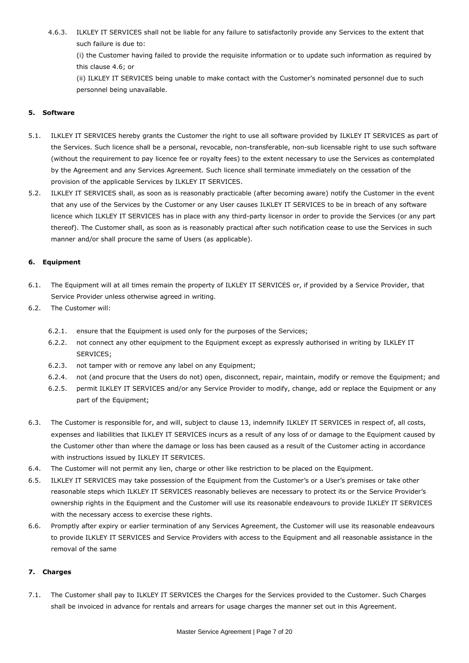4.6.3. ILKLEY IT SERVICES shall not be liable for any failure to satisfactorily provide any Services to the extent that such failure is due to:

(i) the Customer having failed to provide the requisite information or to update such information as required by this clause 4.6; or

(ii) ILKLEY IT SERVICES being unable to make contact with the Customer's nominated personnel due to such personnel being unavailable.

# **5. Software**

- 5.1. ILKLEY IT SERVICES hereby grants the Customer the right to use all software provided by ILKLEY IT SERVICES as part of the Services. Such licence shall be a personal, revocable, non-transferable, non-sub licensable right to use such software (without the requirement to pay licence fee or royalty fees) to the extent necessary to use the Services as contemplated by the Agreement and any Services Agreement. Such licence shall terminate immediately on the cessation of the provision of the applicable Services by ILKLEY IT SERVICES.
- 5.2. ILKLEY IT SERVICES shall, as soon as is reasonably practicable (after becoming aware) notify the Customer in the event that any use of the Services by the Customer or any User causes ILKLEY IT SERVICES to be in breach of any software licence which ILKLEY IT SERVICES has in place with any third-party licensor in order to provide the Services (or any part thereof). The Customer shall, as soon as is reasonably practical after such notification cease to use the Services in such manner and/or shall procure the same of Users (as applicable).

# **6. Equipment**

- 6.1. The Equipment will at all times remain the property of ILKLEY IT SERVICES or, if provided by a Service Provider, that Service Provider unless otherwise agreed in writing.
- 6.2. The Customer will:
	- 6.2.1. ensure that the Equipment is used only for the purposes of the Services;
	- 6.2.2. not connect any other equipment to the Equipment except as expressly authorised in writing by ILKLEY IT SERVICES;
	- 6.2.3. not tamper with or remove any label on any Equipment;
	- 6.2.4. not (and procure that the Users do not) open, disconnect, repair, maintain, modify or remove the Equipment; and
	- 6.2.5. permit ILKLEY IT SERVICES and/or any Service Provider to modify, change, add or replace the Equipment or any part of the Equipment;
- 6.3. The Customer is responsible for, and will, subject to clause 13, indemnify ILKLEY IT SERVICES in respect of, all costs, expenses and liabilities that ILKLEY IT SERVICES incurs as a result of any loss of or damage to the Equipment caused by the Customer other than where the damage or loss has been caused as a result of the Customer acting in accordance with instructions issued by ILKLEY IT SERVICES.
- 6.4. The Customer will not permit any lien, charge or other like restriction to be placed on the Equipment.
- 6.5. ILKLEY IT SERVICES may take possession of the Equipment from the Customer's or a User's premises or take other reasonable steps which ILKLEY IT SERVICES reasonably believes are necessary to protect its or the Service Provider's ownership rights in the Equipment and the Customer will use its reasonable endeavours to provide ILKLEY IT SERVICES with the necessary access to exercise these rights.
- 6.6. Promptly after expiry or earlier termination of any Services Agreement, the Customer will use its reasonable endeavours to provide ILKLEY IT SERVICES and Service Providers with access to the Equipment and all reasonable assistance in the removal of the same

# **7. Charges**

7.1. The Customer shall pay to ILKLEY IT SERVICES the Charges for the Services provided to the Customer. Such Charges shall be invoiced in advance for rentals and arrears for usage charges the manner set out in this Agreement.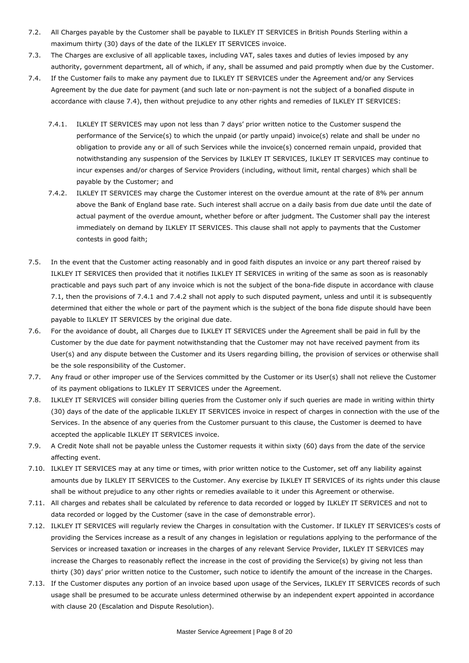- 7.2. All Charges payable by the Customer shall be payable to ILKLEY IT SERVICES in British Pounds Sterling within a maximum thirty (30) days of the date of the ILKLEY IT SERVICES invoice.
- 7.3. The Charges are exclusive of all applicable taxes, including VAT, sales taxes and duties of levies imposed by any authority, government department, all of which, if any, shall be assumed and paid promptly when due by the Customer.
- 7.4. If the Customer fails to make any payment due to ILKLEY IT SERVICES under the Agreement and/or any Services Agreement by the due date for payment (and such late or non-payment is not the subject of a bonafied dispute in accordance with clause 7.4), then without prejudice to any other rights and remedies of ILKLEY IT SERVICES:
	- 7.4.1. ILKLEY IT SERVICES may upon not less than 7 days' prior written notice to the Customer suspend the performance of the Service(s) to which the unpaid (or partly unpaid) invoice(s) relate and shall be under no obligation to provide any or all of such Services while the invoice(s) concerned remain unpaid, provided that notwithstanding any suspension of the Services by ILKLEY IT SERVICES, ILKLEY IT SERVICES may continue to incur expenses and/or charges of Service Providers (including, without limit, rental charges) which shall be payable by the Customer; and
	- 7.4.2. ILKLEY IT SERVICES may charge the Customer interest on the overdue amount at the rate of 8% per annum above the Bank of England base rate. Such interest shall accrue on a daily basis from due date until the date of actual payment of the overdue amount, whether before or after judgment. The Customer shall pay the interest immediately on demand by ILKLEY IT SERVICES. This clause shall not apply to payments that the Customer contests in good faith;
- 7.5. In the event that the Customer acting reasonably and in good faith disputes an invoice or any part thereof raised by ILKLEY IT SERVICES then provided that it notifies ILKLEY IT SERVICES in writing of the same as soon as is reasonably practicable and pays such part of any invoice which is not the subject of the bona-fide dispute in accordance with clause 7.1, then the provisions of 7.4.1 and 7.4.2 shall not apply to such disputed payment, unless and until it is subsequently determined that either the whole or part of the payment which is the subject of the bona fide dispute should have been payable to ILKLEY IT SERVICES by the original due date.
- 7.6. For the avoidance of doubt, all Charges due to ILKLEY IT SERVICES under the Agreement shall be paid in full by the Customer by the due date for payment notwithstanding that the Customer may not have received payment from its User(s) and any dispute between the Customer and its Users regarding billing, the provision of services or otherwise shall be the sole responsibility of the Customer.
- 7.7. Any fraud or other improper use of the Services committed by the Customer or its User(s) shall not relieve the Customer of its payment obligations to ILKLEY IT SERVICES under the Agreement.
- 7.8. ILKLEY IT SERVICES will consider billing queries from the Customer only if such queries are made in writing within thirty (30) days of the date of the applicable ILKLEY IT SERVICES invoice in respect of charges in connection with the use of the Services. In the absence of any queries from the Customer pursuant to this clause, the Customer is deemed to have accepted the applicable ILKLEY IT SERVICES invoice.
- 7.9. A Credit Note shall not be payable unless the Customer requests it within sixty (60) days from the date of the service affecting event.
- 7.10. ILKLEY IT SERVICES may at any time or times, with prior written notice to the Customer, set off any liability against amounts due by ILKLEY IT SERVICES to the Customer. Any exercise by ILKLEY IT SERVICES of its rights under this clause shall be without prejudice to any other rights or remedies available to it under this Agreement or otherwise.
- 7.11. All charges and rebates shall be calculated by reference to data recorded or logged by ILKLEY IT SERVICES and not to data recorded or logged by the Customer (save in the case of demonstrable error).
- 7.12. ILKLEY IT SERVICES will regularly review the Charges in consultation with the Customer. If ILKLEY IT SERVICES's costs of providing the Services increase as a result of any changes in legislation or regulations applying to the performance of the Services or increased taxation or increases in the charges of any relevant Service Provider, ILKLEY IT SERVICES may increase the Charges to reasonably reflect the increase in the cost of providing the Service(s) by giving not less than thirty (30) days' prior written notice to the Customer, such notice to identify the amount of the increase in the Charges.
- 7.13. If the Customer disputes any portion of an invoice based upon usage of the Services, ILKLEY IT SERVICES records of such usage shall be presumed to be accurate unless determined otherwise by an independent expert appointed in accordance with clause 20 (Escalation and Dispute Resolution).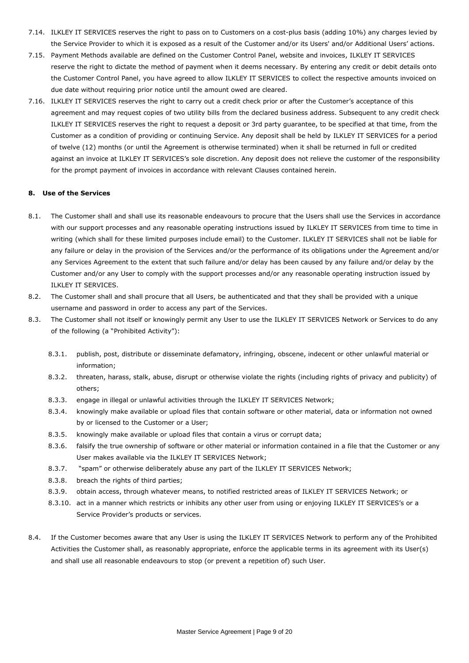- 7.14. ILKLEY IT SERVICES reserves the right to pass on to Customers on a cost-plus basis (adding 10%) any charges levied by the Service Provider to which it is exposed as a result of the Customer and/or its Users' and/or Additional Users' actions.
- 7.15. Payment Methods available are defined on the Customer Control Panel, website and invoices, ILKLEY IT SERVICES reserve the right to dictate the method of payment when it deems necessary. By entering any credit or debit details onto the Customer Control Panel, you have agreed to allow ILKLEY IT SERVICES to collect the respective amounts invoiced on due date without requiring prior notice until the amount owed are cleared.
- 7.16. ILKLEY IT SERVICES reserves the right to carry out a credit check prior or after the Customer's acceptance of this agreement and may request copies of two utility bills from the declared business address. Subsequent to any credit check ILKLEY IT SERVICES reserves the right to request a deposit or 3rd party guarantee, to be specified at that time, from the Customer as a condition of providing or continuing Service. Any deposit shall be held by ILKLEY IT SERVICES for a period of twelve (12) months (or until the Agreement is otherwise terminated) when it shall be returned in full or credited against an invoice at ILKLEY IT SERVICES's sole discretion. Any deposit does not relieve the customer of the responsibility for the prompt payment of invoices in accordance with relevant Clauses contained herein.

## **8. Use of the Services**

- 8.1. The Customer shall and shall use its reasonable endeavours to procure that the Users shall use the Services in accordance with our support processes and any reasonable operating instructions issued by ILKLEY IT SERVICES from time to time in writing (which shall for these limited purposes include email) to the Customer. ILKLEY IT SERVICES shall not be liable for any failure or delay in the provision of the Services and/or the performance of its obligations under the Agreement and/or any Services Agreement to the extent that such failure and/or delay has been caused by any failure and/or delay by the Customer and/or any User to comply with the support processes and/or any reasonable operating instruction issued by ILKLEY IT SERVICES.
- 8.2. The Customer shall and shall procure that all Users, be authenticated and that they shall be provided with a unique username and password in order to access any part of the Services.
- 8.3. The Customer shall not itself or knowingly permit any User to use the ILKLEY IT SERVICES Network or Services to do any of the following (a "Prohibited Activity"):
	- 8.3.1. publish, post, distribute or disseminate defamatory, infringing, obscene, indecent or other unlawful material or information;
	- 8.3.2. threaten, harass, stalk, abuse, disrupt or otherwise violate the rights (including rights of privacy and publicity) of others;
	- 8.3.3. engage in illegal or unlawful activities through the ILKLEY IT SERVICES Network;
	- 8.3.4. knowingly make available or upload files that contain software or other material, data or information not owned by or licensed to the Customer or a User;
	- 8.3.5. knowingly make available or upload files that contain a virus or corrupt data;
	- 8.3.6. falsify the true ownership of software or other material or information contained in a file that the Customer or any User makes available via the ILKLEY IT SERVICES Network;
	- 8.3.7. "spam" or otherwise deliberately abuse any part of the ILKLEY IT SERVICES Network;
	- 8.3.8. breach the rights of third parties;
	- 8.3.9. obtain access, through whatever means, to notified restricted areas of ILKLEY IT SERVICES Network; or
	- 8.3.10. act in a manner which restricts or inhibits any other user from using or enjoying ILKLEY IT SERVICES's or a Service Provider's products or services.
- 8.4. If the Customer becomes aware that any User is using the ILKLEY IT SERVICES Network to perform any of the Prohibited Activities the Customer shall, as reasonably appropriate, enforce the applicable terms in its agreement with its User(s) and shall use all reasonable endeavours to stop (or prevent a repetition of) such User.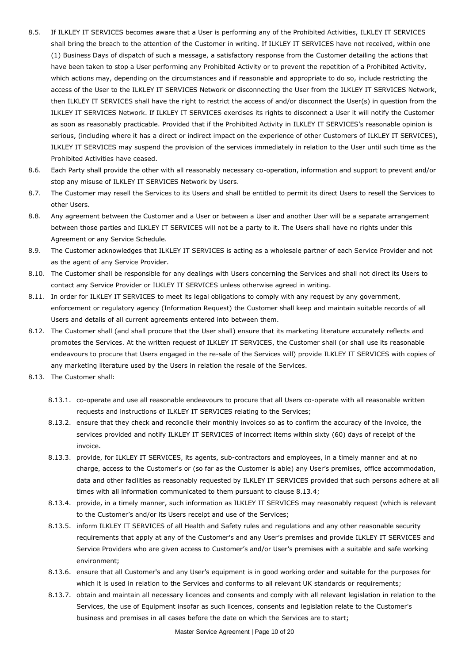- 8.5. If ILKLEY IT SERVICES becomes aware that a User is performing any of the Prohibited Activities, ILKLEY IT SERVICES shall bring the breach to the attention of the Customer in writing. If ILKLEY IT SERVICES have not received, within one (1) Business Days of dispatch of such a message, a satisfactory response from the Customer detailing the actions that have been taken to stop a User performing any Prohibited Activity or to prevent the repetition of a Prohibited Activity, which actions may, depending on the circumstances and if reasonable and appropriate to do so, include restricting the access of the User to the ILKLEY IT SERVICES Network or disconnecting the User from the ILKLEY IT SERVICES Network, then ILKLEY IT SERVICES shall have the right to restrict the access of and/or disconnect the User(s) in question from the ILKLEY IT SERVICES Network. If ILKLEY IT SERVICES exercises its rights to disconnect a User it will notify the Customer as soon as reasonably practicable. Provided that if the Prohibited Activity in ILKLEY IT SERVICES's reasonable opinion is serious, (including where it has a direct or indirect impact on the experience of other Customers of ILKLEY IT SERVICES), ILKLEY IT SERVICES may suspend the provision of the services immediately in relation to the User until such time as the Prohibited Activities have ceased.
- 8.6. Each Party shall provide the other with all reasonably necessary co-operation, information and support to prevent and/or stop any misuse of ILKLEY IT SERVICES Network by Users.
- 8.7. The Customer may resell the Services to its Users and shall be entitled to permit its direct Users to resell the Services to other Users.
- 8.8. Any agreement between the Customer and a User or between a User and another User will be a separate arrangement between those parties and ILKLEY IT SERVICES will not be a party to it. The Users shall have no rights under this Agreement or any Service Schedule.
- 8.9. The Customer acknowledges that ILKLEY IT SERVICES is acting as a wholesale partner of each Service Provider and not as the agent of any Service Provider.
- 8.10. The Customer shall be responsible for any dealings with Users concerning the Services and shall not direct its Users to contact any Service Provider or ILKLEY IT SERVICES unless otherwise agreed in writing.
- 8.11. In order for ILKLEY IT SERVICES to meet its legal obligations to comply with any request by any government, enforcement or regulatory agency (Information Request) the Customer shall keep and maintain suitable records of all Users and details of all current agreements entered into between them.
- 8.12. The Customer shall (and shall procure that the User shall) ensure that its marketing literature accurately reflects and promotes the Services. At the written request of ILKLEY IT SERVICES, the Customer shall (or shall use its reasonable endeavours to procure that Users engaged in the re-sale of the Services will) provide ILKLEY IT SERVICES with copies of any marketing literature used by the Users in relation the resale of the Services.
- 8.13. The Customer shall:
	- 8.13.1. co-operate and use all reasonable endeavours to procure that all Users co-operate with all reasonable written requests and instructions of ILKLEY IT SERVICES relating to the Services;
	- 8.13.2. ensure that they check and reconcile their monthly invoices so as to confirm the accuracy of the invoice, the services provided and notify ILKLEY IT SERVICES of incorrect items within sixty (60) days of receipt of the invoice.
	- 8.13.3. provide, for ILKLEY IT SERVICES, its agents, sub-contractors and employees, in a timely manner and at no charge, access to the Customer's or (so far as the Customer is able) any User's premises, office accommodation, data and other facilities as reasonably requested by ILKLEY IT SERVICES provided that such persons adhere at all times with all information communicated to them pursuant to clause 8.13.4;
	- 8.13.4. provide, in a timely manner, such information as ILKLEY IT SERVICES may reasonably request (which is relevant to the Customer's and/or its Users receipt and use of the Services;
	- 8.13.5. inform ILKLEY IT SERVICES of all Health and Safety rules and regulations and any other reasonable security requirements that apply at any of the Customer's and any User's premises and provide ILKLEY IT SERVICES and Service Providers who are given access to Customer's and/or User's premises with a suitable and safe working environment;
	- 8.13.6. ensure that all Customer's and any User's equipment is in good working order and suitable for the purposes for which it is used in relation to the Services and conforms to all relevant UK standards or requirements;
	- 8.13.7. obtain and maintain all necessary licences and consents and comply with all relevant legislation in relation to the Services, the use of Equipment insofar as such licences, consents and legislation relate to the Customer's business and premises in all cases before the date on which the Services are to start;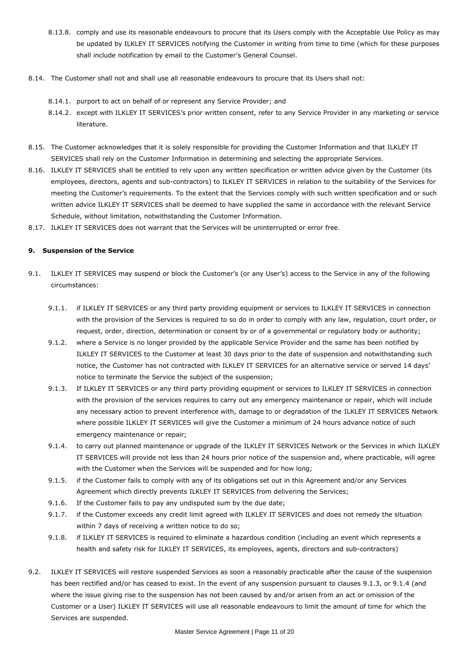- 8.13.8. comply and use its reasonable endeavours to procure that its Users comply with the Acceptable Use Policy as may be updated by ILKLEY IT SERVICES notifying the Customer in writing from time to time (which for these purposes shall include notification by email to the Customer's General Counsel.
- 8.14. The Customer shall not and shall use all reasonable endeavours to procure that its Users shall not:
	- 8.14.1. purport to act on behalf of or represent any Service Provider; and
	- 8.14.2. except with ILKLEY IT SERVICES's prior written consent, refer to any Service Provider in any marketing or service literature.
- 8.15. The Customer acknowledges that it is solely responsible for providing the Customer Information and that ILKLEY IT SERVICES shall rely on the Customer Information in determining and selecting the appropriate Services.
- 8.16. ILKLEY IT SERVICES shall be entitled to rely upon any written specification or written advice given by the Customer (its employees, directors, agents and sub-contractors) to ILKLEY IT SERVICES in relation to the suitability of the Services for meeting the Customer's requirements. To the extent that the Services comply with such written specification and or such written advice ILKLEY IT SERVICES shall be deemed to have supplied the same in accordance with the relevant Service Schedule, without limitation, notwithstanding the Customer Information.
- 8.17. ILKLEY IT SERVICES does not warrant that the Services will be uninterrupted or error free.

## **9. Suspension of the Service**

- 9.1. ILKLEY IT SERVICES may suspend or block the Customer's (or any User's) access to the Service in any of the following circumstances:
	- 9.1.1. if ILKLEY IT SERVICES or any third party providing equipment or services to ILKLEY IT SERVICES in connection with the provision of the Services is required to so do in order to comply with any law, regulation, court order, or request, order, direction, determination or consent by or of a governmental or regulatory body or authority;
	- 9.1.2. where a Service is no longer provided by the applicable Service Provider and the same has been notified by ILKLEY IT SERVICES to the Customer at least 30 days prior to the date of suspension and notwithstanding such notice, the Customer has not contracted with ILKLEY IT SERVICES for an alternative service or served 14 days' notice to terminate the Service the subject of the suspension;
	- 9.1.3. If ILKLEY IT SERVICES or any third party providing equipment or services to ILKLEY IT SERVICES in connection with the provision of the services requires to carry out any emergency maintenance or repair, which will include any necessary action to prevent interference with, damage to or degradation of the ILKLEY IT SERVICES Network where possible ILKLEY IT SERVICES will give the Customer a minimum of 24 hours advance notice of such emergency maintenance or repair;
	- 9.1.4. to carry out planned maintenance or upgrade of the ILKLEY IT SERVICES Network or the Services in which ILKLEY IT SERVICES will provide not less than 24 hours prior notice of the suspension and, where practicable, will agree with the Customer when the Services will be suspended and for how long;
	- 9.1.5. if the Customer fails to comply with any of its obligations set out in this Agreement and/or any Services Agreement which directly prevents ILKLEY IT SERVICES from delivering the Services;
	- 9.1.6. If the Customer fails to pay any undisputed sum by the due date;
	- 9.1.7. if the Customer exceeds any credit limit agreed with ILKLEY IT SERVICES and does not remedy the situation within 7 days of receiving a written notice to do so;
	- 9.1.8. if ILKLEY IT SERVICES is required to eliminate a hazardous condition (including an event which represents a health and safety risk for ILKLEY IT SERVICES, its employees, agents, directors and sub-contractors)
- 9.2. ILKLEY IT SERVICES will restore suspended Services as soon a reasonably practicable after the cause of the suspension has been rectified and/or has ceased to exist. In the event of any suspension pursuant to clauses 9.1.3, or 9.1.4 (and where the issue giving rise to the suspension has not been caused by and/or arisen from an act or omission of the Customer or a User) ILKLEY IT SERVICES will use all reasonable endeavours to limit the amount of time for which the Services are suspended.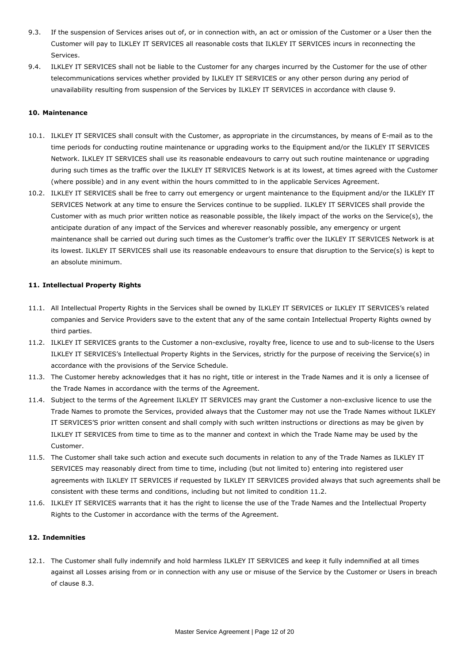- 9.3. If the suspension of Services arises out of, or in connection with, an act or omission of the Customer or a User then the Customer will pay to ILKLEY IT SERVICES all reasonable costs that ILKLEY IT SERVICES incurs in reconnecting the Services.
- 9.4. ILKLEY IT SERVICES shall not be liable to the Customer for any charges incurred by the Customer for the use of other telecommunications services whether provided by ILKLEY IT SERVICES or any other person during any period of unavailability resulting from suspension of the Services by ILKLEY IT SERVICES in accordance with clause 9.

## **10. Maintenance**

- 10.1. ILKLEY IT SERVICES shall consult with the Customer, as appropriate in the circumstances, by means of E-mail as to the time periods for conducting routine maintenance or upgrading works to the Equipment and/or the ILKLEY IT SERVICES Network. ILKLEY IT SERVICES shall use its reasonable endeavours to carry out such routine maintenance or upgrading during such times as the traffic over the ILKLEY IT SERVICES Network is at its lowest, at times agreed with the Customer (where possible) and in any event within the hours committed to in the applicable Services Agreement.
- 10.2. ILKLEY IT SERVICES shall be free to carry out emergency or urgent maintenance to the Equipment and/or the ILKLEY IT SERVICES Network at any time to ensure the Services continue to be supplied. ILKLEY IT SERVICES shall provide the Customer with as much prior written notice as reasonable possible, the likely impact of the works on the Service(s), the anticipate duration of any impact of the Services and wherever reasonably possible, any emergency or urgent maintenance shall be carried out during such times as the Customer's traffic over the ILKLEY IT SERVICES Network is at its lowest. ILKLEY IT SERVICES shall use its reasonable endeavours to ensure that disruption to the Service(s) is kept to an absolute minimum.

## **11. Intellectual Property Rights**

- 11.1. All Intellectual Property Rights in the Services shall be owned by ILKLEY IT SERVICES or ILKLEY IT SERVICES's related companies and Service Providers save to the extent that any of the same contain Intellectual Property Rights owned by third parties.
- 11.2. ILKLEY IT SERVICES grants to the Customer a non-exclusive, royalty free, licence to use and to sub-license to the Users ILKLEY IT SERVICES's Intellectual Property Rights in the Services, strictly for the purpose of receiving the Service(s) in accordance with the provisions of the Service Schedule.
- 11.3. The Customer hereby acknowledges that it has no right, title or interest in the Trade Names and it is only a licensee of the Trade Names in accordance with the terms of the Agreement.
- 11.4. Subject to the terms of the Agreement ILKLEY IT SERVICES may grant the Customer a non-exclusive licence to use the Trade Names to promote the Services, provided always that the Customer may not use the Trade Names without ILKLEY IT SERVICES'S prior written consent and shall comply with such written instructions or directions as may be given by ILKLEY IT SERVICES from time to time as to the manner and context in which the Trade Name may be used by the Customer.
- 11.5. The Customer shall take such action and execute such documents in relation to any of the Trade Names as ILKLEY IT SERVICES may reasonably direct from time to time, including (but not limited to) entering into registered user agreements with ILKLEY IT SERVICES if requested by ILKLEY IT SERVICES provided always that such agreements shall be consistent with these terms and conditions, including but not limited to condition 11.2.
- 11.6. ILKLEY IT SERVICES warrants that it has the right to license the use of the Trade Names and the Intellectual Property Rights to the Customer in accordance with the terms of the Agreement.

# **12. Indemnities**

12.1. The Customer shall fully indemnify and hold harmless ILKLEY IT SERVICES and keep it fully indemnified at all times against all Losses arising from or in connection with any use or misuse of the Service by the Customer or Users in breach of clause 8.3.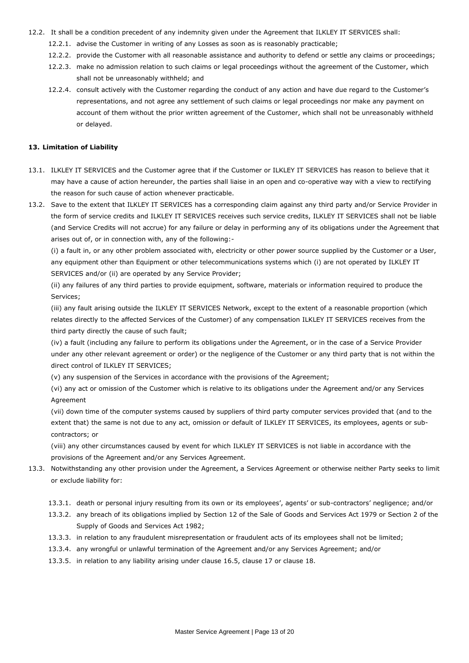- 12.2. It shall be a condition precedent of any indemnity given under the Agreement that ILKLEY IT SERVICES shall:
	- 12.2.1. advise the Customer in writing of any Losses as soon as is reasonably practicable;
	- 12.2.2. provide the Customer with all reasonable assistance and authority to defend or settle any claims or proceedings;
	- 12.2.3. make no admission relation to such claims or legal proceedings without the agreement of the Customer, which shall not be unreasonably withheld; and
	- 12.2.4. consult actively with the Customer regarding the conduct of any action and have due regard to the Customer's representations, and not agree any settlement of such claims or legal proceedings nor make any payment on account of them without the prior written agreement of the Customer, which shall not be unreasonably withheld or delayed.

## **13. Limitation of Liability**

- 13.1. ILKLEY IT SERVICES and the Customer agree that if the Customer or ILKLEY IT SERVICES has reason to believe that it may have a cause of action hereunder, the parties shall liaise in an open and co-operative way with a view to rectifying the reason for such cause of action whenever practicable.
- 13.2. Save to the extent that ILKLEY IT SERVICES has a corresponding claim against any third party and/or Service Provider in the form of service credits and ILKLEY IT SERVICES receives such service credits, ILKLEY IT SERVICES shall not be liable (and Service Credits will not accrue) for any failure or delay in performing any of its obligations under the Agreement that arises out of, or in connection with, any of the following:-

(i) a fault in, or any other problem associated with, electricity or other power source supplied by the Customer or a User, any equipment other than Equipment or other telecommunications systems which (i) are not operated by ILKLEY IT SERVICES and/or (ii) are operated by any Service Provider;

(ii) any failures of any third parties to provide equipment, software, materials or information required to produce the Services;

(iii) any fault arising outside the ILKLEY IT SERVICES Network, except to the extent of a reasonable proportion (which relates directly to the affected Services of the Customer) of any compensation ILKLEY IT SERVICES receives from the third party directly the cause of such fault;

(iv) a fault (including any failure to perform its obligations under the Agreement, or in the case of a Service Provider under any other relevant agreement or order) or the negligence of the Customer or any third party that is not within the direct control of ILKLEY IT SERVICES;

(v) any suspension of the Services in accordance with the provisions of the Agreement;

(vi) any act or omission of the Customer which is relative to its obligations under the Agreement and/or any Services Agreement

(vii) down time of the computer systems caused by suppliers of third party computer services provided that (and to the extent that) the same is not due to any act, omission or default of ILKLEY IT SERVICES, its employees, agents or subcontractors; or

(viii) any other circumstances caused by event for which ILKLEY IT SERVICES is not liable in accordance with the provisions of the Agreement and/or any Services Agreement.

- 13.3. Notwithstanding any other provision under the Agreement, a Services Agreement or otherwise neither Party seeks to limit or exclude liability for:
	- 13.3.1. death or personal injury resulting from its own or its employees', agents' or sub-contractors' negligence; and/or
	- 13.3.2. any breach of its obligations implied by Section 12 of the Sale of Goods and Services Act 1979 or Section 2 of the Supply of Goods and Services Act 1982;
	- 13.3.3. in relation to any fraudulent misrepresentation or fraudulent acts of its employees shall not be limited;
	- 13.3.4. any wrongful or unlawful termination of the Agreement and/or any Services Agreement; and/or
	- 13.3.5. in relation to any liability arising under clause 16.5, clause 17 or clause 18.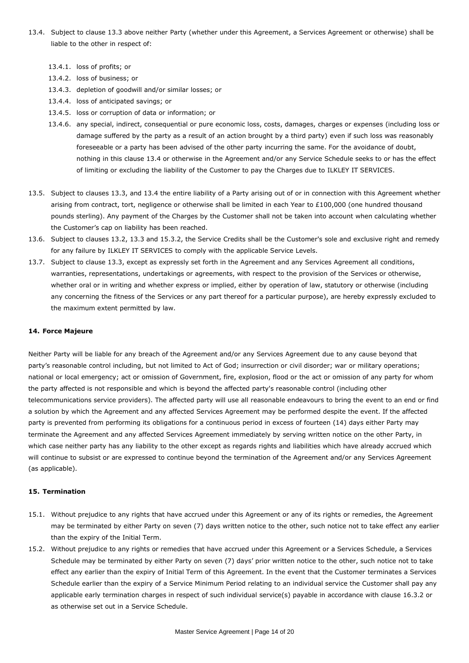- 13.4. Subject to clause 13.3 above neither Party (whether under this Agreement, a Services Agreement or otherwise) shall be liable to the other in respect of:
	- 13.4.1. loss of profits; or
	- 13.4.2. loss of business; or
	- 13.4.3. depletion of goodwill and/or similar losses; or
	- 13.4.4. loss of anticipated savings; or
	- 13.4.5. loss or corruption of data or information; or
	- 13.4.6. any special, indirect, consequential or pure economic loss, costs, damages, charges or expenses (including loss or damage suffered by the party as a result of an action brought by a third party) even if such loss was reasonably foreseeable or a party has been advised of the other party incurring the same. For the avoidance of doubt, nothing in this clause 13.4 or otherwise in the Agreement and/or any Service Schedule seeks to or has the effect of limiting or excluding the liability of the Customer to pay the Charges due to ILKLEY IT SERVICES.
- 13.5. Subject to clauses 13.3, and 13.4 the entire liability of a Party arising out of or in connection with this Agreement whether arising from contract, tort, negligence or otherwise shall be limited in each Year to £100,000 (one hundred thousand pounds sterling). Any payment of the Charges by the Customer shall not be taken into account when calculating whether the Customer's cap on liability has been reached.
- 13.6. Subject to clauses 13.2, 13.3 and 15.3.2, the Service Credits shall be the Customer's sole and exclusive right and remedy for any failure by ILKLEY IT SERVICES to comply with the applicable Service Levels.
- 13.7. Subject to clause 13.3, except as expressly set forth in the Agreement and any Services Agreement all conditions, warranties, representations, undertakings or agreements, with respect to the provision of the Services or otherwise, whether oral or in writing and whether express or implied, either by operation of law, statutory or otherwise (including any concerning the fitness of the Services or any part thereof for a particular purpose), are hereby expressly excluded to the maximum extent permitted by law.

#### **14. Force Majeure**

Neither Party will be liable for any breach of the Agreement and/or any Services Agreement due to any cause beyond that party's reasonable control including, but not limited to Act of God; insurrection or civil disorder; war or military operations; national or local emergency; act or omission of Government, fire, explosion, flood or the act or omission of any party for whom the party affected is not responsible and which is beyond the affected party's reasonable control (including other telecommunications service providers). The affected party will use all reasonable endeavours to bring the event to an end or find a solution by which the Agreement and any affected Services Agreement may be performed despite the event. If the affected party is prevented from performing its obligations for a continuous period in excess of fourteen (14) days either Party may terminate the Agreement and any affected Services Agreement immediately by serving written notice on the other Party, in which case neither party has any liability to the other except as regards rights and liabilities which have already accrued which will continue to subsist or are expressed to continue beyond the termination of the Agreement and/or any Services Agreement (as applicable).

#### **15. Termination**

- 15.1. Without prejudice to any rights that have accrued under this Agreement or any of its rights or remedies, the Agreement may be terminated by either Party on seven (7) days written notice to the other, such notice not to take effect any earlier than the expiry of the Initial Term.
- 15.2. Without prejudice to any rights or remedies that have accrued under this Agreement or a Services Schedule, a Services Schedule may be terminated by either Party on seven (7) days' prior written notice to the other, such notice not to take effect any earlier than the expiry of Initial Term of this Agreement. In the event that the Customer terminates a Services Schedule earlier than the expiry of a Service Minimum Period relating to an individual service the Customer shall pay any applicable early termination charges in respect of such individual service(s) payable in accordance with clause 16.3.2 or as otherwise set out in a Service Schedule.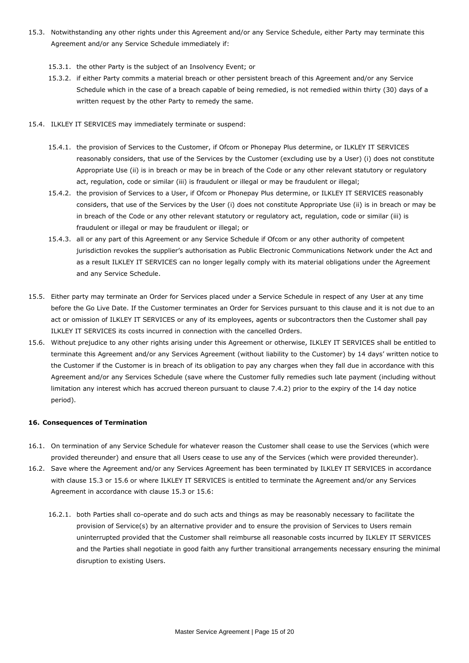- 15.3. Notwithstanding any other rights under this Agreement and/or any Service Schedule, either Party may terminate this Agreement and/or any Service Schedule immediately if:
	- 15.3.1. the other Party is the subject of an Insolvency Event; or
	- 15.3.2. if either Party commits a material breach or other persistent breach of this Agreement and/or any Service Schedule which in the case of a breach capable of being remedied, is not remedied within thirty (30) days of a written request by the other Party to remedy the same.
- 15.4. ILKLEY IT SERVICES may immediately terminate or suspend:
	- 15.4.1. the provision of Services to the Customer, if Ofcom or Phonepay Plus determine, or ILKLEY IT SERVICES reasonably considers, that use of the Services by the Customer (excluding use by a User) (i) does not constitute Appropriate Use (ii) is in breach or may be in breach of the Code or any other relevant statutory or regulatory act, regulation, code or similar (iii) is fraudulent or illegal or may be fraudulent or illegal;
	- 15.4.2. the provision of Services to a User, if Ofcom or Phonepay Plus determine, or ILKLEY IT SERVICES reasonably considers, that use of the Services by the User (i) does not constitute Appropriate Use (ii) is in breach or may be in breach of the Code or any other relevant statutory or regulatory act, regulation, code or similar (iii) is fraudulent or illegal or may be fraudulent or illegal; or
	- 15.4.3. all or any part of this Agreement or any Service Schedule if Ofcom or any other authority of competent jurisdiction revokes the supplier's authorisation as Public Electronic Communications Network under the Act and as a result ILKLEY IT SERVICES can no longer legally comply with its material obligations under the Agreement and any Service Schedule.
- 15.5. Either party may terminate an Order for Services placed under a Service Schedule in respect of any User at any time before the Go Live Date. If the Customer terminates an Order for Services pursuant to this clause and it is not due to an act or omission of ILKLEY IT SERVICES or any of its employees, agents or subcontractors then the Customer shall pay ILKLEY IT SERVICES its costs incurred in connection with the cancelled Orders.
- 15.6. Without prejudice to any other rights arising under this Agreement or otherwise, ILKLEY IT SERVICES shall be entitled to terminate this Agreement and/or any Services Agreement (without liability to the Customer) by 14 days' written notice to the Customer if the Customer is in breach of its obligation to pay any charges when they fall due in accordance with this Agreement and/or any Services Schedule (save where the Customer fully remedies such late payment (including without limitation any interest which has accrued thereon pursuant to clause 7.4.2) prior to the expiry of the 14 day notice period).

## **16. Consequences of Termination**

- 16.1. On termination of any Service Schedule for whatever reason the Customer shall cease to use the Services (which were provided thereunder) and ensure that all Users cease to use any of the Services (which were provided thereunder).
- 16.2. Save where the Agreement and/or any Services Agreement has been terminated by ILKLEY IT SERVICES in accordance with clause 15.3 or 15.6 or where ILKLEY IT SERVICES is entitled to terminate the Agreement and/or any Services Agreement in accordance with clause 15.3 or 15.6:
	- 16.2.1. both Parties shall co-operate and do such acts and things as may be reasonably necessary to facilitate the provision of Service(s) by an alternative provider and to ensure the provision of Services to Users remain uninterrupted provided that the Customer shall reimburse all reasonable costs incurred by ILKLEY IT SERVICES and the Parties shall negotiate in good faith any further transitional arrangements necessary ensuring the minimal disruption to existing Users.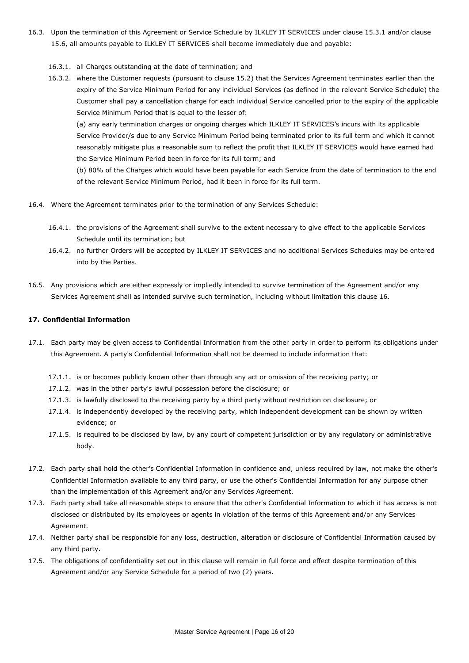- 16.3. Upon the termination of this Agreement or Service Schedule by ILKLEY IT SERVICES under clause 15.3.1 and/or clause 15.6, all amounts payable to ILKLEY IT SERVICES shall become immediately due and payable:
	- 16.3.1. all Charges outstanding at the date of termination; and
	- 16.3.2. where the Customer requests (pursuant to clause 15.2) that the Services Agreement terminates earlier than the expiry of the Service Minimum Period for any individual Services (as defined in the relevant Service Schedule) the Customer shall pay a cancellation charge for each individual Service cancelled prior to the expiry of the applicable Service Minimum Period that is equal to the lesser of:

(a) any early termination charges or ongoing charges which ILKLEY IT SERVICES's incurs with its applicable Service Provider/s due to any Service Minimum Period being terminated prior to its full term and which it cannot reasonably mitigate plus a reasonable sum to reflect the profit that ILKLEY IT SERVICES would have earned had the Service Minimum Period been in force for its full term; and

(b) 80% of the Charges which would have been payable for each Service from the date of termination to the end of the relevant Service Minimum Period, had it been in force for its full term.

- 16.4. Where the Agreement terminates prior to the termination of any Services Schedule:
	- 16.4.1. the provisions of the Agreement shall survive to the extent necessary to give effect to the applicable Services Schedule until its termination; but
	- 16.4.2. no further Orders will be accepted by ILKLEY IT SERVICES and no additional Services Schedules may be entered into by the Parties.
- 16.5. Any provisions which are either expressly or impliedly intended to survive termination of the Agreement and/or any Services Agreement shall as intended survive such termination, including without limitation this clause 16.

## **17. Confidential Information**

- 17.1. Each party may be given access to Confidential Information from the other party in order to perform its obligations under this Agreement. A party's Confidential Information shall not be deemed to include information that:
	- 17.1.1. is or becomes publicly known other than through any act or omission of the receiving party; or
	- 17.1.2. was in the other party's lawful possession before the disclosure; or
	- 17.1.3. is lawfully disclosed to the receiving party by a third party without restriction on disclosure; or
	- 17.1.4. is independently developed by the receiving party, which independent development can be shown by written evidence; or
	- 17.1.5. is required to be disclosed by law, by any court of competent jurisdiction or by any regulatory or administrative body.
- 17.2. Each party shall hold the other's Confidential Information in confidence and, unless required by law, not make the other's Confidential Information available to any third party, or use the other's Confidential Information for any purpose other than the implementation of this Agreement and/or any Services Agreement.
- 17.3. Each party shall take all reasonable steps to ensure that the other's Confidential Information to which it has access is not disclosed or distributed by its employees or agents in violation of the terms of this Agreement and/or any Services Agreement.
- 17.4. Neither party shall be responsible for any loss, destruction, alteration or disclosure of Confidential Information caused by any third party.
- 17.5. The obligations of confidentiality set out in this clause will remain in full force and effect despite termination of this Agreement and/or any Service Schedule for a period of two (2) years.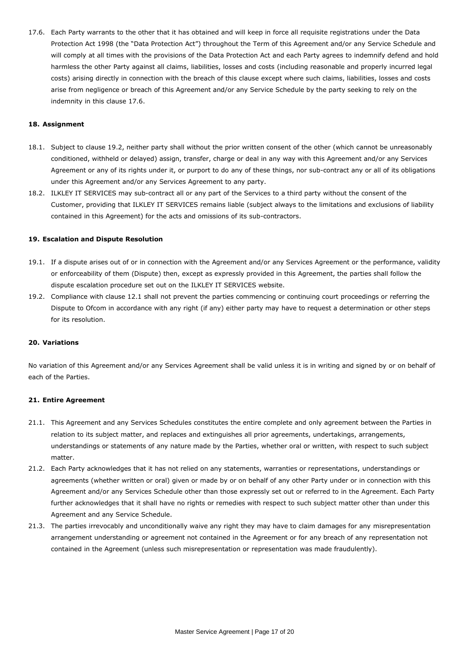17.6. Each Party warrants to the other that it has obtained and will keep in force all requisite registrations under the Data Protection Act 1998 (the "Data Protection Act") throughout the Term of this Agreement and/or any Service Schedule and will comply at all times with the provisions of the Data Protection Act and each Party agrees to indemnify defend and hold harmless the other Party against all claims, liabilities, losses and costs (including reasonable and properly incurred legal costs) arising directly in connection with the breach of this clause except where such claims, liabilities, losses and costs arise from negligence or breach of this Agreement and/or any Service Schedule by the party seeking to rely on the indemnity in this clause 17.6.

## **18. Assignment**

- 18.1. Subject to clause 19.2, neither party shall without the prior written consent of the other (which cannot be unreasonably conditioned, withheld or delayed) assign, transfer, charge or deal in any way with this Agreement and/or any Services Agreement or any of its rights under it, or purport to do any of these things, nor sub-contract any or all of its obligations under this Agreement and/or any Services Agreement to any party.
- 18.2. ILKLEY IT SERVICES may sub-contract all or any part of the Services to a third party without the consent of the Customer, providing that ILKLEY IT SERVICES remains liable (subject always to the limitations and exclusions of liability contained in this Agreement) for the acts and omissions of its sub-contractors.

## **19. Escalation and Dispute Resolution**

- 19.1. If a dispute arises out of or in connection with the Agreement and/or any Services Agreement or the performance, validity or enforceability of them (Dispute) then, except as expressly provided in this Agreement, the parties shall follow the dispute escalation procedure set out on the ILKLEY IT SERVICES website.
- 19.2. Compliance with clause 12.1 shall not prevent the parties commencing or continuing court proceedings or referring the Dispute to Ofcom in accordance with any right (if any) either party may have to request a determination or other steps for its resolution.

## **20. Variations**

No variation of this Agreement and/or any Services Agreement shall be valid unless it is in writing and signed by or on behalf of each of the Parties.

## **21. Entire Agreement**

- 21.1. This Agreement and any Services Schedules constitutes the entire complete and only agreement between the Parties in relation to its subject matter, and replaces and extinguishes all prior agreements, undertakings, arrangements, understandings or statements of any nature made by the Parties, whether oral or written, with respect to such subject matter.
- 21.2. Each Party acknowledges that it has not relied on any statements, warranties or representations, understandings or agreements (whether written or oral) given or made by or on behalf of any other Party under or in connection with this Agreement and/or any Services Schedule other than those expressly set out or referred to in the Agreement. Each Party further acknowledges that it shall have no rights or remedies with respect to such subject matter other than under this Agreement and any Service Schedule.
- 21.3. The parties irrevocably and unconditionally waive any right they may have to claim damages for any misrepresentation arrangement understanding or agreement not contained in the Agreement or for any breach of any representation not contained in the Agreement (unless such misrepresentation or representation was made fraudulently).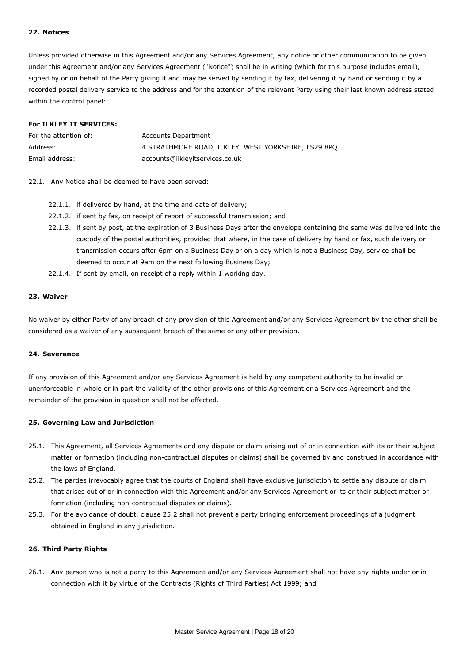## **22. Notices**

Unless provided otherwise in this Agreement and/or any Services Agreement, any notice or other communication to be given under this Agreement and/or any Services Agreement ("Notice") shall be in writing (which for this purpose includes email), signed by or on behalf of the Party giving it and may be served by sending it by fax, delivering it by hand or sending it by a recorded postal delivery service to the address and for the attention of the relevant Party using their last known address stated within the control panel:

## **For ILKLEY IT SERVICES:**

| For the attention of: | Accounts Department                                 |
|-----------------------|-----------------------------------------------------|
| Address:              | 4 STRATHMORE ROAD, ILKLEY, WEST YORKSHIRE, LS29 8PO |
| Email address:        | accounts@ilkleyitservices.co.uk                     |

#### 22.1. Any Notice shall be deemed to have been served:

- 22.1.1. if delivered by hand, at the time and date of delivery;
- 22.1.2. if sent by fax, on receipt of report of successful transmission; and
- 22.1.3. if sent by post, at the expiration of 3 Business Days after the envelope containing the same was delivered into the custody of the postal authorities, provided that where, in the case of delivery by hand or fax, such delivery or transmission occurs after 6pm on a Business Day or on a day which is not a Business Day, service shall be deemed to occur at 9am on the next following Business Day;
- 22.1.4. If sent by email, on receipt of a reply within 1 working day.

## **23. Waiver**

No waiver by either Party of any breach of any provision of this Agreement and/or any Services Agreement by the other shall be considered as a waiver of any subsequent breach of the same or any other provision.

#### **24. Severance**

If any provision of this Agreement and/or any Services Agreement is held by any competent authority to be invalid or unenforceable in whole or in part the validity of the other provisions of this Agreement or a Services Agreement and the remainder of the provision in question shall not be affected.

#### **25. Governing Law and Jurisdiction**

- 25.1. This Agreement, all Services Agreements and any dispute or claim arising out of or in connection with its or their subject matter or formation (including non-contractual disputes or claims) shall be governed by and construed in accordance with the laws of England.
- 25.2. The parties irrevocably agree that the courts of England shall have exclusive jurisdiction to settle any dispute or claim that arises out of or in connection with this Agreement and/or any Services Agreement or its or their subject matter or formation (including non-contractual disputes or claims).
- 25.3. For the avoidance of doubt, clause 25.2 shall not prevent a party bringing enforcement proceedings of a judgment obtained in England in any jurisdiction.

## **26. Third Party Rights**

26.1. Any person who is not a party to this Agreement and/or any Services Agreement shall not have any rights under or in connection with it by virtue of the Contracts (Rights of Third Parties) Act 1999; and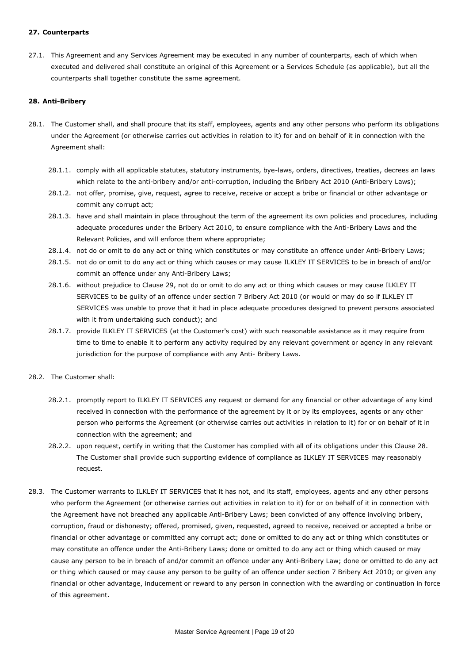## **27. Counterparts**

27.1. This Agreement and any Services Agreement may be executed in any number of counterparts, each of which when executed and delivered shall constitute an original of this Agreement or a Services Schedule (as applicable), but all the counterparts shall together constitute the same agreement.

## **28. Anti-Bribery**

- 28.1. The Customer shall, and shall procure that its staff, employees, agents and any other persons who perform its obligations under the Agreement (or otherwise carries out activities in relation to it) for and on behalf of it in connection with the Agreement shall:
	- 28.1.1. comply with all applicable statutes, statutory instruments, bye-laws, orders, directives, treaties, decrees an laws which relate to the anti-bribery and/or anti-corruption, including the Bribery Act 2010 (Anti-Bribery Laws);
	- 28.1.2. not offer, promise, give, request, agree to receive, receive or accept a bribe or financial or other advantage or commit any corrupt act;
	- 28.1.3. have and shall maintain in place throughout the term of the agreement its own policies and procedures, including adequate procedures under the Bribery Act 2010, to ensure compliance with the Anti-Bribery Laws and the Relevant Policies, and will enforce them where appropriate;
	- 28.1.4. not do or omit to do any act or thing which constitutes or may constitute an offence under Anti-Bribery Laws;
	- 28.1.5. not do or omit to do any act or thing which causes or may cause ILKLEY IT SERVICES to be in breach of and/or commit an offence under any Anti-Bribery Laws;
	- 28.1.6. without prejudice to Clause 29, not do or omit to do any act or thing which causes or may cause ILKLEY IT SERVICES to be guilty of an offence under section 7 Bribery Act 2010 (or would or may do so if ILKLEY IT SERVICES was unable to prove that it had in place adequate procedures designed to prevent persons associated with it from undertaking such conduct); and
	- 28.1.7. provide ILKLEY IT SERVICES (at the Customer's cost) with such reasonable assistance as it may require from time to time to enable it to perform any activity required by any relevant government or agency in any relevant jurisdiction for the purpose of compliance with any Anti- Bribery Laws.
- 28.2. The Customer shall:
	- 28.2.1. promptly report to ILKLEY IT SERVICES any request or demand for any financial or other advantage of any kind received in connection with the performance of the agreement by it or by its employees, agents or any other person who performs the Agreement (or otherwise carries out activities in relation to it) for or on behalf of it in connection with the agreement; and
	- 28.2.2. upon request, certify in writing that the Customer has complied with all of its obligations under this Clause 28. The Customer shall provide such supporting evidence of compliance as ILKLEY IT SERVICES may reasonably request.
- 28.3. The Customer warrants to ILKLEY IT SERVICES that it has not, and its staff, employees, agents and any other persons who perform the Agreement (or otherwise carries out activities in relation to it) for or on behalf of it in connection with the Agreement have not breached any applicable Anti-Bribery Laws; been convicted of any offence involving bribery, corruption, fraud or dishonesty; offered, promised, given, requested, agreed to receive, received or accepted a bribe or financial or other advantage or committed any corrupt act; done or omitted to do any act or thing which constitutes or may constitute an offence under the Anti-Bribery Laws; done or omitted to do any act or thing which caused or may cause any person to be in breach of and/or commit an offence under any Anti-Bribery Law; done or omitted to do any act or thing which caused or may cause any person to be guilty of an offence under section 7 Bribery Act 2010; or given any financial or other advantage, inducement or reward to any person in connection with the awarding or continuation in force of this agreement.